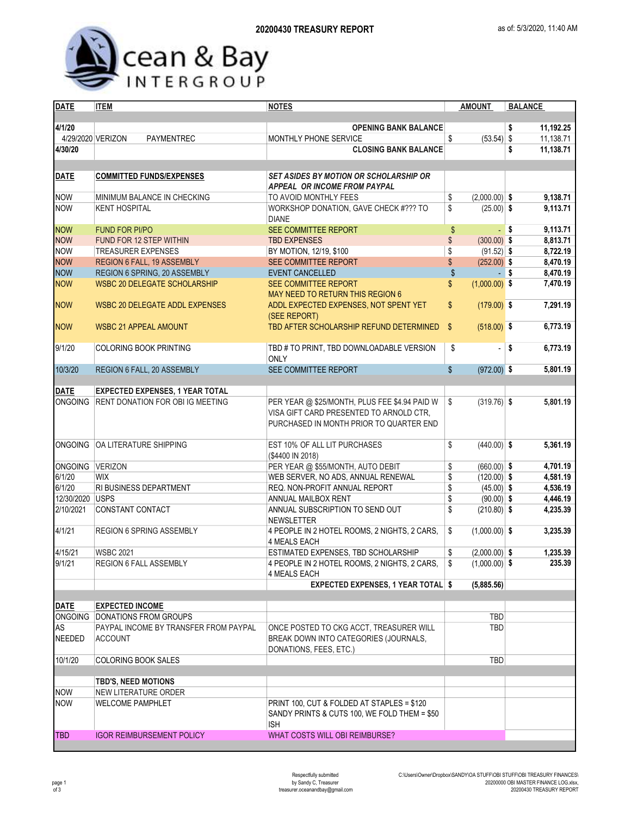

| <b>DATE</b>       | <b>ITEM</b>                             | <b>NOTES</b>                                                                                                                        | <b>AMOUNT</b>         | <b>BALANCE</b>   |  |  |  |
|-------------------|-----------------------------------------|-------------------------------------------------------------------------------------------------------------------------------------|-----------------------|------------------|--|--|--|
|                   |                                         |                                                                                                                                     |                       |                  |  |  |  |
| 4/1/20            |                                         | <b>OPENING BANK BALANCE</b>                                                                                                         |                       | 11,192.25<br>\$  |  |  |  |
| 4/29/2020 VERIZON | PAYMENTREC                              | MONTHLY PHONE SERVICE                                                                                                               | $(53.54)$ \$<br>\$    | 11,138.71        |  |  |  |
| 4/30/20           |                                         | <b>CLOSING BANK BALANCE</b>                                                                                                         |                       | 11,138.71<br>\$  |  |  |  |
|                   |                                         |                                                                                                                                     |                       |                  |  |  |  |
| <b>DATE</b>       | <b>COMMITTED FUNDS/EXPENSES</b>         | <b>SET ASIDES BY MOTION OR SCHOLARSHIP OR</b><br><b>APPEAL OR INCOME FROM PAYPAL</b>                                                |                       |                  |  |  |  |
| <b>NOW</b>        | MINIMUM BALANCE IN CHECKING             | TO AVOID MONTHLY FEES                                                                                                               | \$<br>$(2,000.00)$ \$ | 9,138.71         |  |  |  |
| <b>NOW</b>        | <b>KENT HOSPITAL</b>                    | WORKSHOP DONATION, GAVE CHECK #??? TO<br><b>DIANE</b>                                                                               | \$<br>$(25.00)$ \$    | 9,113.71         |  |  |  |
| <b>NOW</b>        | <b>FUND FOR PI/PO</b>                   | <b>SEE COMMITTEE REPORT</b>                                                                                                         | \$                    | 9,113.71<br>- \$ |  |  |  |
| <b>NOW</b>        | FUND FOR 12 STEP WITHIN                 | <b>TBD EXPENSES</b>                                                                                                                 | \$<br>$(300.00)$ \$   | 8,813.71         |  |  |  |
| <b>NOW</b>        | <b>TREASURER EXPENSES</b>               | BY MOTION, 12/19, \$100                                                                                                             | \$<br>$(91.52)$ \$    | 8,722.19         |  |  |  |
| <b>NOW</b>        | REGION 6 FALL, 19 ASSEMBLY              | SEE COMMITTEE REPORT                                                                                                                | \$<br>$(252.00)$ \$   | 8,470.19         |  |  |  |
| <b>NOW</b>        | REGION 6 SPRING, 20 ASSEMBLY            | <b>EVENT CANCELLED</b>                                                                                                              | \$                    | 8,470.19<br>∣\$  |  |  |  |
| <b>NOW</b>        | <b>WSBC 20 DELEGATE SCHOLARSHIP</b>     | <b>SEE COMMITTEE REPORT</b><br>MAY NEED TO RETURN THIS REGION 6                                                                     | \$<br>$(1,000.00)$ \$ | 7,470.19         |  |  |  |
| <b>NOW</b>        | <b>WSBC 20 DELEGATE ADDL EXPENSES</b>   | ADDL EXPECTED EXPENSES, NOT SPENT YET<br>(SEE REPORT)                                                                               | \$<br>$(179.00)$ \$   | 7,291.19         |  |  |  |
| <b>NOW</b>        | <b>WSBC 21 APPEAL AMOUNT</b>            | TBD AFTER SCHOLARSHIP REFUND DETERMINED                                                                                             | $(518.00)$ \$<br>\$   | 6,773.19         |  |  |  |
| 9/1/20            | <b>COLORING BOOK PRINTING</b>           | TBD # TO PRINT, TBD DOWNLOADABLE VERSION<br><b>ONLY</b>                                                                             | \$                    | \$<br>6,773.19   |  |  |  |
| 10/3/20           | REGION 6 FALL, 20 ASSEMBLY              | SEE COMMITTEE REPORT                                                                                                                | $(972.00)$ \$<br>\$   | 5,801.19         |  |  |  |
|                   |                                         |                                                                                                                                     |                       |                  |  |  |  |
| <b>DATE</b>       | <b>EXPECTED EXPENSES, 1 YEAR TOTAL</b>  |                                                                                                                                     |                       |                  |  |  |  |
| <b>ONGOING</b>    | <b>RENT DONATION FOR OBI IG MEETING</b> | PER YEAR @ \$25/MONTH, PLUS FEE \$4.94 PAID W<br>VISA GIFT CARD PRESENTED TO ARNOLD CTR.<br>PURCHASED IN MONTH PRIOR TO QUARTER END | \$<br>$(319.76)$ \$   | 5,801.19         |  |  |  |
| <b>ONGOING</b>    | <b>OA LITERATURE SHIPPING</b>           | <b>EST 10% OF ALL LIT PURCHASES</b><br>(\$4400 IN 2018)                                                                             | \$<br>$(440.00)$ \$   | 5,361.19         |  |  |  |
| ONGOING VERIZON   |                                         | PER YEAR @ \$55/MONTH, AUTO DEBIT                                                                                                   | \$<br>$(660.00)$ \$   | 4,701.19         |  |  |  |
| 6/1/20            | <b>WIX</b>                              | WEB SERVER, NO ADS, ANNUAL RENEWAL                                                                                                  | \$<br>$(120.00)$ \$   | 4,581.19         |  |  |  |
| 6/1/20            | RI BUSINESS DEPARTMENT                  | REQ. NON-PROFIT ANNUAL REPORT                                                                                                       | \$<br>$(45.00)$ \$    | 4,536.19         |  |  |  |
| 12/30/2020 USPS   |                                         | ANNUAL MAILBOX RENT                                                                                                                 | \$<br>$(90.00)$ \$    | 4,446.19         |  |  |  |
| 2/10/2021         | CONSTANT CONTACT                        | ANNUAL SUBSCRIPTION TO SEND OUT<br><b>NEWSLETTER</b>                                                                                | \$<br>$(210.80)$ \$   | 4,235.39         |  |  |  |
| 4/1/21            | REGION 6 SPRING ASSEMBLY                | 4 PEOPLE IN 2 HOTEL ROOMS, 2 NIGHTS, 2 CARS,<br>4 MEALS EACH                                                                        | $(1,000.00)$ \$<br>\$ | 3,235.39         |  |  |  |
| 4/15/21           | <b>WSBC 2021</b>                        | ESTIMATED EXPENSES, TBD SCHOLARSHIP                                                                                                 | \$<br>$(2,000.00)$ \$ | 1,235.39         |  |  |  |
| 9/1/21            | REGION 6 FALL ASSEMBLY                  | 4 PEOPLE IN 2 HOTEL ROOMS, 2 NIGHTS, 2 CARS,<br><b>4 MEALS EACH</b>                                                                 | \$<br>$(1,000.00)$ \$ | 235.39           |  |  |  |
|                   |                                         | <b>EXPECTED EXPENSES, 1 YEAR TOTAL \$</b>                                                                                           | (5.885.56)            |                  |  |  |  |
|                   |                                         |                                                                                                                                     |                       |                  |  |  |  |
| <b>DATE</b>       | <b>EXPECTED INCOME</b>                  |                                                                                                                                     |                       |                  |  |  |  |
| <b>ONGOING</b>    | DONATIONS FROM GROUPS                   |                                                                                                                                     | TBD                   |                  |  |  |  |
| AS                | PAYPAL INCOME BY TRANSFER FROM PAYPAL   | ONCE POSTED TO CKG ACCT, TREASURER WILL                                                                                             | <b>TBD</b>            |                  |  |  |  |
| <b>NEEDED</b>     | <b>ACCOUNT</b>                          | BREAK DOWN INTO CATEGORIES (JOURNALS,<br>DONATIONS, FEES, ETC.)                                                                     |                       |                  |  |  |  |
| 10/1/20           | COLORING BOOK SALES                     |                                                                                                                                     | <b>TBD</b>            |                  |  |  |  |
|                   |                                         |                                                                                                                                     |                       |                  |  |  |  |
|                   | TBD'S, NEED MOTIONS                     |                                                                                                                                     |                       |                  |  |  |  |
| <b>NOW</b>        | NEW LITERATURE ORDER                    |                                                                                                                                     |                       |                  |  |  |  |
| <b>NOW</b>        | <b>WELCOME PAMPHLET</b>                 | PRINT 100, CUT & FOLDED AT STAPLES = \$120<br>SANDY PRINTS & CUTS 100, WE FOLD THEM = \$50<br><b>ISH</b>                            |                       |                  |  |  |  |
| <b>TBD</b>        | <b>IGOR REIMBURSEMENT POLICY</b>        | WHAT COSTS WILL OBI REIMBURSE?                                                                                                      |                       |                  |  |  |  |
|                   |                                         |                                                                                                                                     |                       |                  |  |  |  |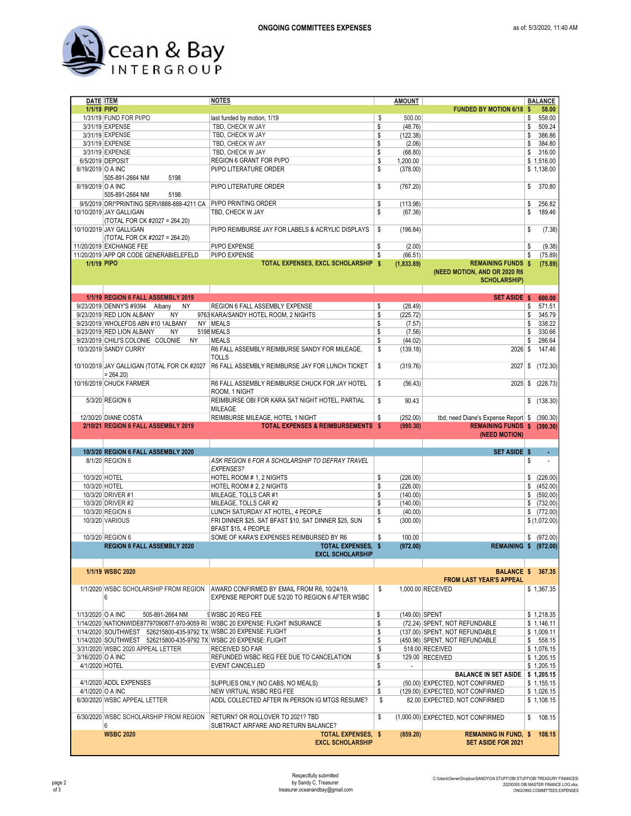

| DATE <b>ITEM</b>  |                                                                   | <b>NOTES</b>                                                                      | <b>AMOUNT</b>                  |                                              | <b>BALANCE</b>          |
|-------------------|-------------------------------------------------------------------|-----------------------------------------------------------------------------------|--------------------------------|----------------------------------------------|-------------------------|
| 1/1/19 PIPO       |                                                                   |                                                                                   |                                | <b>FUNDED BY MOTION 6/18 \$</b>              | 58.00                   |
|                   | 1/31/19 FUND FOR PI/PO                                            | last funded by motion, 1/19                                                       | \$<br>500.00                   |                                              | \$<br>558.00            |
|                   | 3/31/19 EXPENSE                                                   | TBD, CHECK W JAY                                                                  | \$<br>(48.76)                  |                                              | \$<br>509.24            |
|                   | 3/31/19 EXPENSE                                                   | TBD, CHECK W JAY                                                                  | \$<br>(122.38)                 |                                              | \$<br>386.86            |
|                   | 3/31/19 EXPENSE                                                   | TBD, CHECK W JAY                                                                  | \$<br>(2.06)                   |                                              | \$<br>384.80            |
|                   | 3/31/19 EXPENSE                                                   | TBD, CHECK W JAY                                                                  | \$                             |                                              | \$<br>316.00            |
|                   |                                                                   |                                                                                   | (68.80)                        |                                              |                         |
|                   | 6/5/2019 DEPOSIT                                                  | REGION 6 GRANT FOR PI/PO                                                          | \$<br>1,200.00                 |                                              | \$1,516.00              |
| 8/19/2019 O A INC |                                                                   | PI/PO LITERATURE ORDER                                                            | \$<br>(378.00)                 |                                              | \$1,138.00              |
|                   | 505-891-2664 NM<br>5198                                           |                                                                                   |                                |                                              |                         |
| 8/19/2019 O A INC |                                                                   | PI/PO LITERATURE ORDER                                                            | \$<br>(767.20)                 |                                              | \$<br>370.80            |
|                   | 505-891-2664 NM<br>5198                                           |                                                                                   |                                |                                              |                         |
|                   | 9/5/2019 DRI*PRINTING SERVI888-888-4211 CA                        | PI/PO PRINTING ORDER                                                              | \$<br>(113.98)                 |                                              | \$<br>256.82            |
|                   |                                                                   |                                                                                   |                                |                                              |                         |
|                   | 10/10/2019 JAY GALLIGAN                                           | TBD, CHECK W JAY                                                                  | \$<br>(67.36)                  |                                              | \$<br>189.46            |
|                   | (TOTAL FOR CK #2027 = 264.20)                                     |                                                                                   |                                |                                              |                         |
|                   | 10/10/2019 JAY GALLIGAN                                           | PI/PO REIMBURSE JAY FOR LABELS & ACRYLIC DISPLAYS                                 | \$<br>(196.84)                 |                                              | \$<br>(7.38)            |
|                   | (TOTAL FOR CK #2027 = 264.20)                                     |                                                                                   |                                |                                              |                         |
|                   | 11/20/2019 EXCHANGE FEE                                           | PI/PO EXPENSE                                                                     | \$<br>(2.00)                   |                                              | \$<br>(9.38)            |
|                   | 11/20/2019 APP QR CODE GENERABIELEFELD                            | PI/PO EXPENSE                                                                     | \$<br>(66.51)                  |                                              | \$<br>(75.89)           |
|                   |                                                                   |                                                                                   |                                |                                              |                         |
| 1/1/19 PIPO       |                                                                   | TOTAL EXPENSES, EXCL SCHOLARSHIP \$                                               | (1,833.89)                     | <b>REMAINING FUNDS \$</b>                    | (75.89)                 |
|                   |                                                                   |                                                                                   |                                | (NEED MOTION, AND OR 2020 R6                 |                         |
|                   |                                                                   |                                                                                   |                                | <b>SCHOLARSHIP)</b>                          |                         |
|                   |                                                                   |                                                                                   |                                |                                              |                         |
|                   | 1/1/19 REGION 6 FALL ASSEMBLY 2019                                |                                                                                   |                                | SET ASIDE \$                                 | 600.00                  |
|                   | <b>NY</b>                                                         | REGION 6 FALL ASSEMBLY EXPENSE                                                    | \$                             |                                              | \$<br>571.51            |
|                   | 9/23/2019 DENNY'S #9394 Albany                                    |                                                                                   | (28.49)                        |                                              |                         |
|                   | 9/23/2019 RED LION ALBANY<br>NY                                   | 9763 KARA/SANDY HOTEL ROOM, 2 NIGHTS                                              | \$<br>(225.72)                 |                                              | \$<br>345.79            |
|                   | 9/23/2019 WHOLEFDS ABN #10 1ALBANY                                | NY MEALS                                                                          | \$<br>(7.57)                   |                                              | \$<br>338.22            |
|                   | 9/23/2019 RED LION ALBANY<br><b>NY</b>                            | 5198 MEALS                                                                        | \$<br>(7.56)                   |                                              | \$<br>330.66            |
|                   | 9/23/2019 CHILI'S COLONIE COLONIE<br><b>NY</b>                    | MEALS                                                                             | \$<br>(44.02)                  |                                              | \$<br>286.64            |
|                   | 10/3/2019 SANDY CURRY                                             | R6 FALL ASSEMBLY REIMBURSE SANDY FOR MILEAGE,                                     | \$<br>(139.18)                 | $2026$ \$                                    | 147.46                  |
|                   |                                                                   | TOLLS                                                                             |                                |                                              |                         |
|                   |                                                                   |                                                                                   |                                |                                              |                         |
|                   | 10/10/2019 JAY GALLIGAN (TOTAL FOR CK #2027                       | R6 FALL ASSEMBLY REIMBURSE JAY FOR LUNCH TICKET                                   | \$<br>(319.76)                 | 2027                                         | \$<br>(172.30)          |
|                   | $= 264.20$                                                        |                                                                                   |                                |                                              |                         |
|                   | 10/16/2019 CHUCK FARMER                                           | R6 FALL ASSEMBLY REIMBURSE CHUCK FOR JAY HOTEL                                    | \$<br>(56.43)                  | $2025$ \$                                    | (228.73)                |
|                   |                                                                   | ROOM, 1 NIGHT                                                                     |                                |                                              |                         |
|                   | 5/3/20 REGION 6                                                   | REIMBURSE OBI FOR KARA SAT NIGHT HOTEL, PARTIAL                                   | \$<br>90.43                    |                                              | \$(138.30)              |
|                   |                                                                   | MILEAGE                                                                           |                                |                                              |                         |
|                   |                                                                   |                                                                                   |                                |                                              |                         |
|                   | 12/30/20 DIANE COSTA                                              | REIMBURSE MILEAGE, HOTEL 1 NIGHT                                                  | \$<br>(252.00)                 | tbd, need Diane's Expense Report \$ (390.30) |                         |
|                   |                                                                   |                                                                                   |                                |                                              |                         |
|                   | 2/10/21 REGION 6 FALL ASSEMBLY 2019                               | <b>TOTAL EXPENSES &amp; REIMBURSEMENTS \$</b>                                     | (990.30)                       | REMAINING FUNDS \$ (390.30)                  |                         |
|                   |                                                                   |                                                                                   |                                | (NEED MOTION)                                |                         |
|                   |                                                                   |                                                                                   |                                |                                              |                         |
|                   |                                                                   |                                                                                   |                                |                                              |                         |
|                   | 10/3/20 REGION 6 FALL ASSEMBLY 2020                               |                                                                                   |                                | SET ASIDE \$                                 |                         |
|                   | 8/1/20 REGION 6                                                   | ASK REGION 6 FOR A SCHOLARSHIP TO DEFRAY TRAVEL                                   |                                |                                              | \$                      |
|                   |                                                                   | <b>EXPENSES?</b>                                                                  |                                |                                              |                         |
| 10/3/20 HOTEL     |                                                                   | HOTEL ROOM # 1, 2 NIGHTS                                                          | \$<br>(226.00)                 |                                              | \$ (226.00)             |
| 10/3/20 HOTEL     |                                                                   | HOTEL ROOM # 2, 2 NIGHTS                                                          | \$<br>(226.00)                 |                                              | \$ (452.00)             |
|                   | 10/3/20 DRIVER #1                                                 | MILEAGE, TOLLS CAR #1                                                             | \$<br>(140.00)                 |                                              | \$ (592.00)             |
|                   | 10/3/20 DRIVER #2                                                 | MILEAGE, TOLLS CAR #2                                                             | \$<br>(140.00)                 |                                              | \$ (732.00)             |
|                   | 10/3/20 REGION 6                                                  |                                                                                   |                                |                                              |                         |
|                   |                                                                   | LUNCH SATURDAY AT HOTEL, 4 PEOPLE                                                 | \$<br>(40.00)                  |                                              | \$ (772.00)             |
|                   | 10/3/20 VARIOUS                                                   | FRI DINNER \$25, SAT BFAST \$10, SAT DINNER \$25, SUN                             | \$<br>(300.00)                 |                                              | \$(1,072.00)            |
|                   |                                                                   | BFAST \$15, 4 PEOPLE                                                              |                                |                                              |                         |
|                   | 10/3/20 REGION 6                                                  | SOME OF KARA'S EXPENSES REIMBURSED BY R6                                          | \$<br>100.00                   |                                              |                         |
|                   | REGION 6 FALL ASSEMBLY 2020                                       | TOTAL EXPENSES, \$                                                                | (972.00)                       | <b>REMAINING \$</b>                          |                         |
|                   |                                                                   | <b>EXCL SCHOLARSHIP</b>                                                           |                                |                                              |                         |
|                   |                                                                   |                                                                                   |                                |                                              |                         |
|                   | 1/1/19 WSBC 2020                                                  |                                                                                   |                                | <b>BALANCE \$</b>                            | 367.35                  |
|                   |                                                                   |                                                                                   |                                |                                              | \$ (972.00)<br>(972.00) |
|                   |                                                                   |                                                                                   |                                | <b>FROM LAST YEAR'S APPEAL</b>               |                         |
|                   |                                                                   | 1/1/2020 WSBC SCHOLARSHIP FROM REGION AWARD CONFIRMED BY EMAIL FROM R6, 10/24/19, | \$                             | 1,000.00 RECEIVED                            | \$1,367.35              |
|                   | 6                                                                 | EXPENSE REPORT DUE 5/2/20 TO REGION 6 AFTER WSBC                                  |                                |                                              |                         |
|                   |                                                                   |                                                                                   |                                |                                              |                         |
| 1/13/2020 O A INC | 505-891-2664 NM                                                   | <b>SWSBC 20 REG FEE</b>                                                           | \$<br>(149.00) SPENT           |                                              | \$1,218.35              |
|                   |                                                                   |                                                                                   |                                |                                              |                         |
|                   |                                                                   | 1/14/2020 NATIONWIDE87797090877-970-9059 RI WSBC 20 EXPENSE: FLIGHT INSURANCE     | \$                             | (72.24) SPENT, NOT REFUNDABLE                | \$1,146.11              |
|                   | 1/14/2020 SOUTHWEST 526215800-435-9792 TX WSBC 20 EXPENSE: FLIGHT |                                                                                   | \$                             | (137.00) SPENT, NOT REFUNDABLE               | \$1,009.11              |
|                   | 1/14/2020 SOUTHWEST 526215800-435-9792 TX WSBC 20 EXPENSE: FLIGHT |                                                                                   | \$                             | (450.96) SPENT, NOT REFUNDABLE               | \$558.15                |
|                   | 3/31/2020 WSBC 2020 APPEAL LETTER                                 | RECEIVED SO FAR                                                                   | \$                             | 518.00 RECEIVED                              | \$1,076.15              |
| 3/16/2020 O A INC |                                                                   | REFUNDED WSBC REG FEE DUE TO CANCELATION                                          | \$                             | 129.00 RECEIVED                              | \$1,205.15              |
| 4/1/2020 HOTEL    |                                                                   | EVENT CANCELLED                                                                   | \$<br>$\overline{\phantom{a}}$ |                                              | \$1,205.15              |
|                   |                                                                   |                                                                                   |                                | <b>BALANCE IN SET ASIDE</b>                  | \$1,205.15              |
|                   | 4/1/2020 ADDL EXPENSES                                            | SUPPLIES ONLY (NO CABS, NO MEALS)                                                 | \$                             | (50.00) EXPECTED, NOT CONFIRMED              | \$1,155.15              |
|                   |                                                                   |                                                                                   |                                |                                              |                         |
| 4/1/2020 O A INC  |                                                                   | NEW VIRTUAL WSBC REG FEE                                                          | \$                             | (129.00) EXPECTED, NOT CONFIRMED             | \$1,026.15              |
|                   | 6/30/2020 WSBC APPEAL LETTER                                      | ADDL COLLECTED AFTER IN PERSON IG MTGS RESUME?                                    | \$                             | 82.00 EXPECTED, NOT CONFIRMED                | \$1,108.15              |
|                   |                                                                   |                                                                                   |                                |                                              |                         |
|                   | 6/30/2020 WSBC SCHOLARSHIP FROM REGION                            | RETURN? OR ROLLOVER TO 2021? TBD                                                  | \$                             | (1,000.00) EXPECTED, NOT CONFIRMED           | \$<br>108.15            |
|                   | 6                                                                 | SUBTRACT AIRFARE AND RETURN BALANCE?                                              |                                |                                              |                         |
|                   | <b>WSBC 2020</b>                                                  | <b>TOTAL EXPENSES, \$</b>                                                         | (859.20)                       | <b>REMAINING IN FUND, \$</b>                 | 108.15                  |
|                   |                                                                   | <b>EXCL SCHOLARSHIP</b>                                                           |                                | <b>SET ASIDE FOR 2021</b>                    |                         |